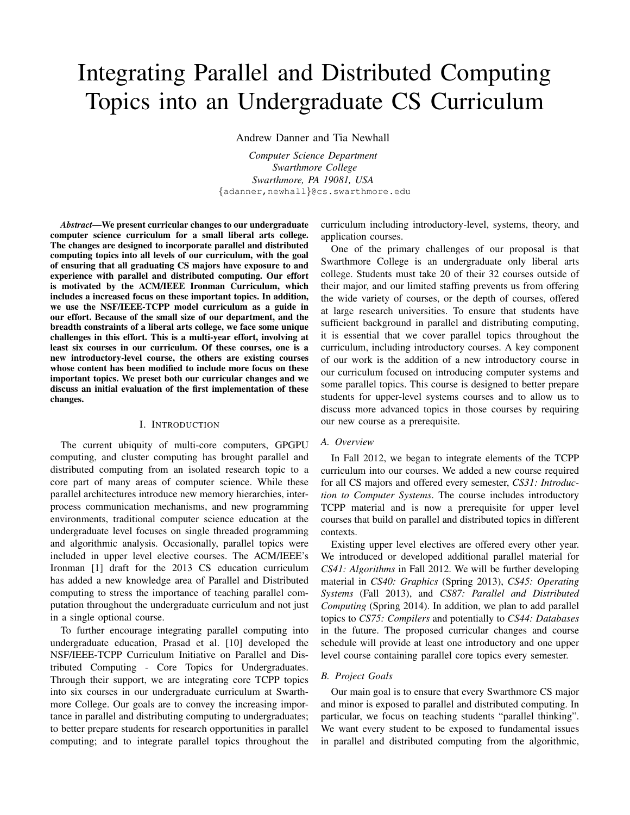# Integrating Parallel and Distributed Computing Topics into an Undergraduate CS Curriculum

Andrew Danner and Tia Newhall

*Computer Science Department Swarthmore College Swarthmore, PA 19081, USA* {adanner,newhall}@cs.swarthmore.edu

*Abstract*—We present curricular changes to our undergraduate computer science curriculum for a small liberal arts college. The changes are designed to incorporate parallel and distributed computing topics into all levels of our curriculum, with the goal of ensuring that all graduating CS majors have exposure to and experience with parallel and distributed computing. Our effort is motivated by the ACM/IEEE Ironman Curriculum, which includes a increased focus on these important topics. In addition, we use the NSF/IEEE-TCPP model curriculum as a guide in our effort. Because of the small size of our department, and the breadth constraints of a liberal arts college, we face some unique challenges in this effort. This is a multi-year effort, involving at least six courses in our curriculum. Of these courses, one is a new introductory-level course, the others are existing courses whose content has been modified to include more focus on these important topics. We preset both our curricular changes and we discuss an initial evaluation of the first implementation of these changes.

## I. INTRODUCTION

The current ubiquity of multi-core computers, GPGPU computing, and cluster computing has brought parallel and distributed computing from an isolated research topic to a core part of many areas of computer science. While these parallel architectures introduce new memory hierarchies, interprocess communication mechanisms, and new programming environments, traditional computer science education at the undergraduate level focuses on single threaded programming and algorithmic analysis. Occasionally, parallel topics were included in upper level elective courses. The ACM/IEEE's Ironman [1] draft for the 2013 CS education curriculum has added a new knowledge area of Parallel and Distributed computing to stress the importance of teaching parallel computation throughout the undergraduate curriculum and not just in a single optional course.

To further encourage integrating parallel computing into undergraduate education, Prasad et al. [10] developed the NSF/IEEE-TCPP Curriculum Initiative on Parallel and Distributed Computing - Core Topics for Undergraduates. Through their support, we are integrating core TCPP topics into six courses in our undergraduate curriculum at Swarthmore College. Our goals are to convey the increasing importance in parallel and distributing computing to undergraduates; to better prepare students for research opportunities in parallel computing; and to integrate parallel topics throughout the curriculum including introductory-level, systems, theory, and application courses.

One of the primary challenges of our proposal is that Swarthmore College is an undergraduate only liberal arts college. Students must take 20 of their 32 courses outside of their major, and our limited staffing prevents us from offering the wide variety of courses, or the depth of courses, offered at large research universities. To ensure that students have sufficient background in parallel and distributing computing, it is essential that we cover parallel topics throughout the curriculum, including introductory courses. A key component of our work is the addition of a new introductory course in our curriculum focused on introducing computer systems and some parallel topics. This course is designed to better prepare students for upper-level systems courses and to allow us to discuss more advanced topics in those courses by requiring our new course as a prerequisite.

# *A. Overview*

In Fall 2012, we began to integrate elements of the TCPP curriculum into our courses. We added a new course required for all CS majors and offered every semester, *CS31: Introduction to Computer Systems*. The course includes introductory TCPP material and is now a prerequisite for upper level courses that build on parallel and distributed topics in different contexts.

Existing upper level electives are offered every other year. We introduced or developed additional parallel material for *CS41: Algorithms* in Fall 2012. We will be further developing material in *CS40: Graphics* (Spring 2013), *CS45: Operating Systems* (Fall 2013), and *CS87: Parallel and Distributed Computing* (Spring 2014). In addition, we plan to add parallel topics to *CS75: Compilers* and potentially to *CS44: Databases* in the future. The proposed curricular changes and course schedule will provide at least one introductory and one upper level course containing parallel core topics every semester.

## *B. Project Goals*

Our main goal is to ensure that every Swarthmore CS major and minor is exposed to parallel and distributed computing. In particular, we focus on teaching students "parallel thinking". We want every student to be exposed to fundamental issues in parallel and distributed computing from the algorithmic,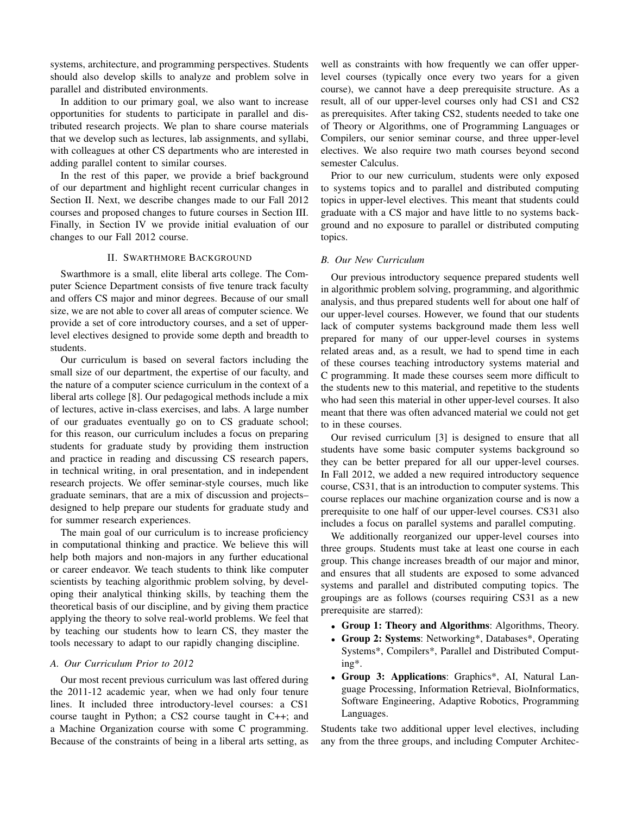systems, architecture, and programming perspectives. Students should also develop skills to analyze and problem solve in parallel and distributed environments.

In addition to our primary goal, we also want to increase opportunities for students to participate in parallel and distributed research projects. We plan to share course materials that we develop such as lectures, lab assignments, and syllabi, with colleagues at other CS departments who are interested in adding parallel content to similar courses.

In the rest of this paper, we provide a brief background of our department and highlight recent curricular changes in Section II. Next, we describe changes made to our Fall 2012 courses and proposed changes to future courses in Section III. Finally, in Section IV we provide initial evaluation of our changes to our Fall 2012 course.

## II. SWARTHMORE BACKGROUND

Swarthmore is a small, elite liberal arts college. The Computer Science Department consists of five tenure track faculty and offers CS major and minor degrees. Because of our small size, we are not able to cover all areas of computer science. We provide a set of core introductory courses, and a set of upperlevel electives designed to provide some depth and breadth to students.

Our curriculum is based on several factors including the small size of our department, the expertise of our faculty, and the nature of a computer science curriculum in the context of a liberal arts college [8]. Our pedagogical methods include a mix of lectures, active in-class exercises, and labs. A large number of our graduates eventually go on to CS graduate school; for this reason, our curriculum includes a focus on preparing students for graduate study by providing them instruction and practice in reading and discussing CS research papers, in technical writing, in oral presentation, and in independent research projects. We offer seminar-style courses, much like graduate seminars, that are a mix of discussion and projects– designed to help prepare our students for graduate study and for summer research experiences.

The main goal of our curriculum is to increase proficiency in computational thinking and practice. We believe this will help both majors and non-majors in any further educational or career endeavor. We teach students to think like computer scientists by teaching algorithmic problem solving, by developing their analytical thinking skills, by teaching them the theoretical basis of our discipline, and by giving them practice applying the theory to solve real-world problems. We feel that by teaching our students how to learn CS, they master the tools necessary to adapt to our rapidly changing discipline.

# *A. Our Curriculum Prior to 2012*

Our most recent previous curriculum was last offered during the 2011-12 academic year, when we had only four tenure lines. It included three introductory-level courses: a CS1 course taught in Python; a CS2 course taught in C++; and a Machine Organization course with some C programming. Because of the constraints of being in a liberal arts setting, as well as constraints with how frequently we can offer upperlevel courses (typically once every two years for a given course), we cannot have a deep prerequisite structure. As a result, all of our upper-level courses only had CS1 and CS2 as prerequisites. After taking CS2, students needed to take one of Theory or Algorithms, one of Programming Languages or Compilers, our senior seminar course, and three upper-level electives. We also require two math courses beyond second semester Calculus.

Prior to our new curriculum, students were only exposed to systems topics and to parallel and distributed computing topics in upper-level electives. This meant that students could graduate with a CS major and have little to no systems background and no exposure to parallel or distributed computing topics.

### *B. Our New Curriculum*

Our previous introductory sequence prepared students well in algorithmic problem solving, programming, and algorithmic analysis, and thus prepared students well for about one half of our upper-level courses. However, we found that our students lack of computer systems background made them less well prepared for many of our upper-level courses in systems related areas and, as a result, we had to spend time in each of these courses teaching introductory systems material and C programming. It made these courses seem more difficult to the students new to this material, and repetitive to the students who had seen this material in other upper-level courses. It also meant that there was often advanced material we could not get to in these courses.

Our revised curriculum [3] is designed to ensure that all students have some basic computer systems background so they can be better prepared for all our upper-level courses. In Fall 2012, we added a new required introductory sequence course, CS31, that is an introduction to computer systems. This course replaces our machine organization course and is now a prerequisite to one half of our upper-level courses. CS31 also includes a focus on parallel systems and parallel computing.

We additionally reorganized our upper-level courses into three groups. Students must take at least one course in each group. This change increases breadth of our major and minor, and ensures that all students are exposed to some advanced systems and parallel and distributed computing topics. The groupings are as follows (courses requiring CS31 as a new prerequisite are starred):

- Group 1: Theory and Algorithms: Algorithms, Theory.
- Group 2: Systems: Networking\*, Databases\*, Operating Systems\*, Compilers\*, Parallel and Distributed Computing\*.
- Group 3: Applications: Graphics\*, AI, Natural Language Processing, Information Retrieval, BioInformatics, Software Engineering, Adaptive Robotics, Programming Languages.

Students take two additional upper level electives, including any from the three groups, and including Computer Architec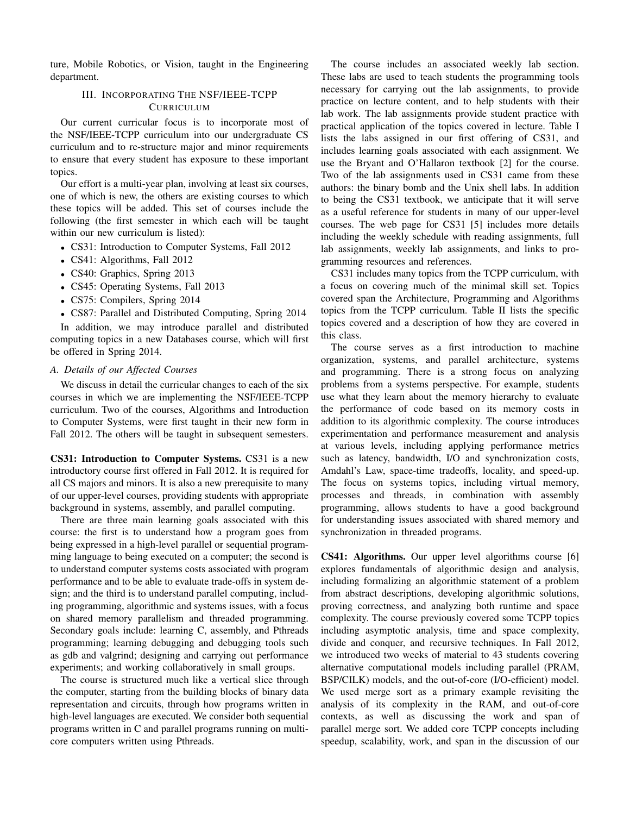ture, Mobile Robotics, or Vision, taught in the Engineering department.

# III. INCORPORATING THE NSF/IEEE-TCPP CURRICULUM

Our current curricular focus is to incorporate most of the NSF/IEEE-TCPP curriculum into our undergraduate CS curriculum and to re-structure major and minor requirements to ensure that every student has exposure to these important topics.

Our effort is a multi-year plan, involving at least six courses, one of which is new, the others are existing courses to which these topics will be added. This set of courses include the following (the first semester in which each will be taught within our new curriculum is listed):

- CS31: Introduction to Computer Systems, Fall 2012
- CS41: Algorithms, Fall 2012
- CS40: Graphics, Spring 2013
- CS45: Operating Systems, Fall 2013
- CS75: Compilers, Spring 2014
- CS87: Parallel and Distributed Computing, Spring 2014

In addition, we may introduce parallel and distributed computing topics in a new Databases course, which will first be offered in Spring 2014.

# *A. Details of our Affected Courses*

We discuss in detail the curricular changes to each of the six courses in which we are implementing the NSF/IEEE-TCPP curriculum. Two of the courses, Algorithms and Introduction to Computer Systems, were first taught in their new form in Fall 2012. The others will be taught in subsequent semesters.

CS31: Introduction to Computer Systems. CS31 is a new introductory course first offered in Fall 2012. It is required for all CS majors and minors. It is also a new prerequisite to many of our upper-level courses, providing students with appropriate background in systems, assembly, and parallel computing.

There are three main learning goals associated with this course: the first is to understand how a program goes from being expressed in a high-level parallel or sequential programming language to being executed on a computer; the second is to understand computer systems costs associated with program performance and to be able to evaluate trade-offs in system design; and the third is to understand parallel computing, including programming, algorithmic and systems issues, with a focus on shared memory parallelism and threaded programming. Secondary goals include: learning C, assembly, and Pthreads programming; learning debugging and debugging tools such as gdb and valgrind; designing and carrying out performance experiments; and working collaboratively in small groups.

The course is structured much like a vertical slice through the computer, starting from the building blocks of binary data representation and circuits, through how programs written in high-level languages are executed. We consider both sequential programs written in C and parallel programs running on multicore computers written using Pthreads.

The course includes an associated weekly lab section. These labs are used to teach students the programming tools necessary for carrying out the lab assignments, to provide practice on lecture content, and to help students with their lab work. The lab assignments provide student practice with practical application of the topics covered in lecture. Table I lists the labs assigned in our first offering of CS31, and includes learning goals associated with each assignment. We use the Bryant and O'Hallaron textbook [2] for the course. Two of the lab assignments used in CS31 came from these authors: the binary bomb and the Unix shell labs. In addition to being the CS31 textbook, we anticipate that it will serve as a useful reference for students in many of our upper-level courses. The web page for CS31 [5] includes more details including the weekly schedule with reading assignments, full lab assignments, weekly lab assignments, and links to programming resources and references.

CS31 includes many topics from the TCPP curriculum, with a focus on covering much of the minimal skill set. Topics covered span the Architecture, Programming and Algorithms topics from the TCPP curriculum. Table II lists the specific topics covered and a description of how they are covered in this class.

The course serves as a first introduction to machine organization, systems, and parallel architecture, systems and programming. There is a strong focus on analyzing problems from a systems perspective. For example, students use what they learn about the memory hierarchy to evaluate the performance of code based on its memory costs in addition to its algorithmic complexity. The course introduces experimentation and performance measurement and analysis at various levels, including applying performance metrics such as latency, bandwidth, I/O and synchronization costs, Amdahl's Law, space-time tradeoffs, locality, and speed-up. The focus on systems topics, including virtual memory, processes and threads, in combination with assembly programming, allows students to have a good background for understanding issues associated with shared memory and synchronization in threaded programs.

CS41: Algorithms. Our upper level algorithms course [6] explores fundamentals of algorithmic design and analysis, including formalizing an algorithmic statement of a problem from abstract descriptions, developing algorithmic solutions, proving correctness, and analyzing both runtime and space complexity. The course previously covered some TCPP topics including asymptotic analysis, time and space complexity, divide and conquer, and recursive techniques. In Fall 2012, we introduced two weeks of material to 43 students covering alternative computational models including parallel (PRAM, BSP/CILK) models, and the out-of-core (I/O-efficient) model. We used merge sort as a primary example revisiting the analysis of its complexity in the RAM, and out-of-core contexts, as well as discussing the work and span of parallel merge sort. We added core TCPP concepts including speedup, scalability, work, and span in the discussion of our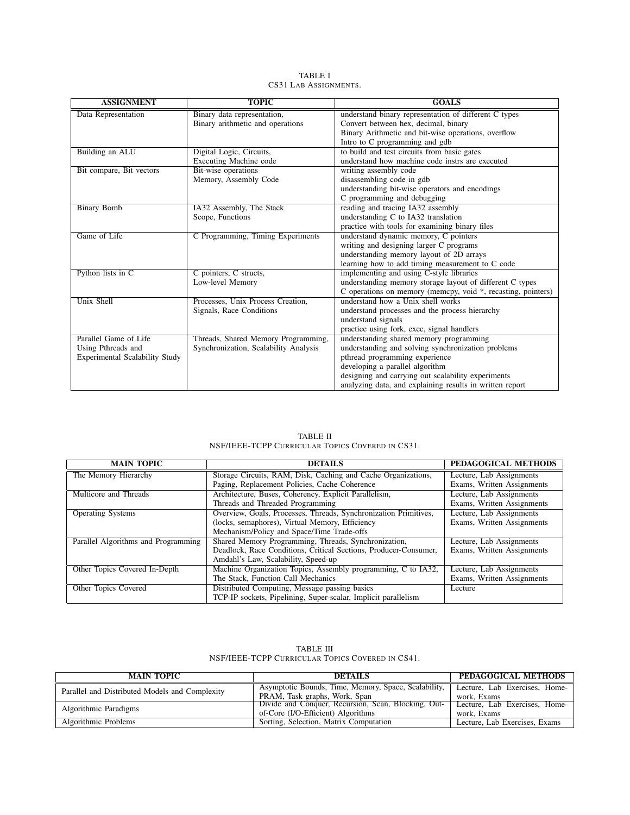| <b>ASSIGNMENT</b>                     | <b>TOPIC</b>                          | <b>GOALS</b>                                                 |  |
|---------------------------------------|---------------------------------------|--------------------------------------------------------------|--|
| Data Representation                   | Binary data representation,           | understand binary representation of different C types        |  |
|                                       | Binary arithmetic and operations      | Convert between hex, decimal, binary                         |  |
|                                       |                                       | Binary Arithmetic and bit-wise operations, overflow          |  |
|                                       |                                       | Intro to C programming and gdb                               |  |
| Building an ALU                       | Digital Logic, Circuits,              | to build and test circuits from basic gates                  |  |
|                                       | Executing Machine code                | understand how machine code instrs are executed              |  |
| Bit compare, Bit vectors              | Bit-wise operations                   | writing assembly code                                        |  |
|                                       | Memory, Assembly Code                 | disassembling code in gdb                                    |  |
|                                       |                                       | understanding bit-wise operators and encodings               |  |
|                                       |                                       | C programming and debugging                                  |  |
| <b>Binary Bomb</b>                    | IA32 Assembly, The Stack              | reading and tracing IA32 assembly                            |  |
|                                       | Scope, Functions                      | understanding C to IA32 translation                          |  |
|                                       |                                       | practice with tools for examining binary files               |  |
| Game of Life                          | C Programming, Timing Experiments     | understand dynamic memory, C pointers                        |  |
|                                       |                                       | writing and designing larger C programs                      |  |
|                                       |                                       | understanding memory layout of 2D arrays                     |  |
|                                       |                                       | learning how to add timing measurement to C code             |  |
| Python lists in C                     | C pointers, C structs,                | implementing and using C-style libraries                     |  |
|                                       | Low-level Memory                      | understanding memory storage layout of different C types     |  |
|                                       |                                       | C operations on memory (memory, void *, recasting, pointers) |  |
| Unix Shell                            | Processes, Unix Process Creation,     | understand how a Unix shell works                            |  |
|                                       | Signals, Race Conditions              | understand processes and the process hierarchy               |  |
|                                       |                                       | understand signals                                           |  |
|                                       |                                       | practice using fork, exec, signal handlers                   |  |
| Parallel Game of Life                 | Threads, Shared Memory Programming,   | understanding shared memory programming                      |  |
| Using Pthreads and                    | Synchronization, Scalability Analysis | understanding and solving synchronization problems           |  |
| <b>Experimental Scalability Study</b> |                                       | pthread programming experience                               |  |
|                                       |                                       | developing a parallel algorithm                              |  |
|                                       |                                       | designing and carrying out scalability experiments           |  |
|                                       |                                       | analyzing data, and explaining results in written report     |  |

TABLE I CS31 LAB ASSIGNMENTS.

| TABLE II                                         |  |
|--------------------------------------------------|--|
| NSF/IEEE-TCPP CURRICULAR TOPICS COVERED IN CS31. |  |

| <b>MAIN TOPIC</b>                   | <b>DETAILS</b>                                                   | PEDAGOGICAL METHODS        |
|-------------------------------------|------------------------------------------------------------------|----------------------------|
| The Memory Hierarchy                | Storage Circuits, RAM, Disk, Caching and Cache Organizations,    | Lecture, Lab Assignments   |
|                                     | Paging, Replacement Policies, Cache Coherence                    | Exams, Written Assignments |
| Multicore and Threads               | Architecture, Buses, Coherency, Explicit Parallelism,            | Lecture, Lab Assignments   |
|                                     | Threads and Threaded Programming                                 | Exams, Written Assignments |
| <b>Operating Systems</b>            | Overview, Goals, Processes, Threads, Synchronization Primitives, | Lecture, Lab Assignments   |
|                                     | (locks, semaphores), Virtual Memory, Efficiency                  | Exams, Written Assignments |
|                                     | Mechanism/Policy and Space/Time Trade-offs                       |                            |
| Parallel Algorithms and Programming | Shared Memory Programming, Threads, Synchronization,             | Lecture, Lab Assignments   |
|                                     | Deadlock, Race Conditions, Critical Sections, Producer-Consumer, | Exams, Written Assignments |
|                                     | Amdahl's Law, Scalability, Speed-up                              |                            |
| Other Topics Covered In-Depth       | Machine Organization Topics, Assembly programming, C to IA32,    | Lecture, Lab Assignments   |
|                                     | The Stack, Function Call Mechanics                               | Exams, Written Assignments |
| Other Topics Covered                | Distributed Computing, Message passing basics                    | Lecture                    |
|                                     | TCP-IP sockets, Pipelining, Super-scalar, Implicit parallelism   |                            |

| TABLE III                                        |  |
|--------------------------------------------------|--|
| NSF/IEEE-TCPP CURRICULAR TOPICS COVERED IN CS41. |  |

| <b>MAIN TOPIC</b>                              | <b>DETAILS</b>                                       | PEDAGOGICAL METHODS           |
|------------------------------------------------|------------------------------------------------------|-------------------------------|
| Parallel and Distributed Models and Complexity | Asymptotic Bounds, Time, Memory, Space, Scalability, | Lecture, Lab Exercises, Home- |
|                                                | PRAM, Task graphs, Work, Span                        | work. Exams                   |
| Algorithmic Paradigms                          | Divide and Conquer, Recursion, Scan, Blocking, Out-  | Lecture, Lab Exercises, Home- |
|                                                | of-Core (I/O-Efficient) Algorithms                   | work. Exams                   |
| Algorithmic Problems                           | Sorting, Selection, Matrix Computation               | Lecture, Lab Exercises, Exams |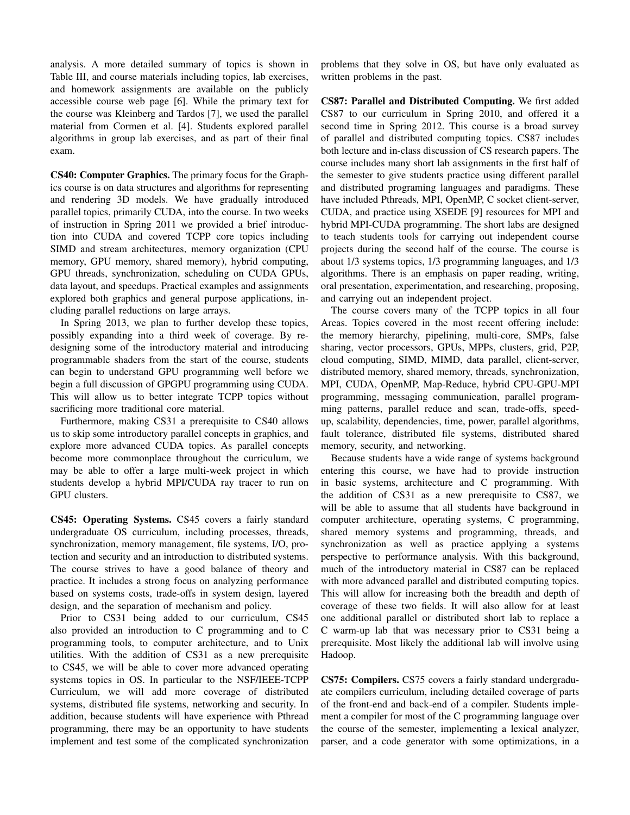analysis. A more detailed summary of topics is shown in Table III, and course materials including topics, lab exercises, and homework assignments are available on the publicly accessible course web page [6]. While the primary text for the course was Kleinberg and Tardos [7], we used the parallel material from Cormen et al. [4]. Students explored parallel algorithms in group lab exercises, and as part of their final exam.

CS40: Computer Graphics. The primary focus for the Graphics course is on data structures and algorithms for representing and rendering 3D models. We have gradually introduced parallel topics, primarily CUDA, into the course. In two weeks of instruction in Spring 2011 we provided a brief introduction into CUDA and covered TCPP core topics including SIMD and stream architectures, memory organization (CPU memory, GPU memory, shared memory), hybrid computing, GPU threads, synchronization, scheduling on CUDA GPUs, data layout, and speedups. Practical examples and assignments explored both graphics and general purpose applications, including parallel reductions on large arrays.

In Spring 2013, we plan to further develop these topics, possibly expanding into a third week of coverage. By redesigning some of the introductory material and introducing programmable shaders from the start of the course, students can begin to understand GPU programming well before we begin a full discussion of GPGPU programming using CUDA. This will allow us to better integrate TCPP topics without sacrificing more traditional core material.

Furthermore, making CS31 a prerequisite to CS40 allows us to skip some introductory parallel concepts in graphics, and explore more advanced CUDA topics. As parallel concepts become more commonplace throughout the curriculum, we may be able to offer a large multi-week project in which students develop a hybrid MPI/CUDA ray tracer to run on GPU clusters.

CS45: Operating Systems. CS45 covers a fairly standard undergraduate OS curriculum, including processes, threads, synchronization, memory management, file systems, I/O, protection and security and an introduction to distributed systems. The course strives to have a good balance of theory and practice. It includes a strong focus on analyzing performance based on systems costs, trade-offs in system design, layered design, and the separation of mechanism and policy.

Prior to CS31 being added to our curriculum, CS45 also provided an introduction to C programming and to C programming tools, to computer architecture, and to Unix utilities. With the addition of CS31 as a new prerequisite to CS45, we will be able to cover more advanced operating systems topics in OS. In particular to the NSF/IEEE-TCPP Curriculum, we will add more coverage of distributed systems, distributed file systems, networking and security. In addition, because students will have experience with Pthread programming, there may be an opportunity to have students implement and test some of the complicated synchronization problems that they solve in OS, but have only evaluated as written problems in the past.

CS87: Parallel and Distributed Computing. We first added CS87 to our curriculum in Spring 2010, and offered it a second time in Spring 2012. This course is a broad survey of parallel and distributed computing topics. CS87 includes both lecture and in-class discussion of CS research papers. The course includes many short lab assignments in the first half of the semester to give students practice using different parallel and distributed programing languages and paradigms. These have included Pthreads, MPI, OpenMP, C socket client-server, CUDA, and practice using XSEDE [9] resources for MPI and hybrid MPI-CUDA programming. The short labs are designed to teach students tools for carrying out independent course projects during the second half of the course. The course is about 1/3 systems topics, 1/3 programming languages, and 1/3 algorithms. There is an emphasis on paper reading, writing, oral presentation, experimentation, and researching, proposing, and carrying out an independent project.

The course covers many of the TCPP topics in all four Areas. Topics covered in the most recent offering include: the memory hierarchy, pipelining, multi-core, SMPs, false sharing, vector processors, GPUs, MPPs, clusters, grid, P2P, cloud computing, SIMD, MIMD, data parallel, client-server, distributed memory, shared memory, threads, synchronization, MPI, CUDA, OpenMP, Map-Reduce, hybrid CPU-GPU-MPI programming, messaging communication, parallel programming patterns, parallel reduce and scan, trade-offs, speedup, scalability, dependencies, time, power, parallel algorithms, fault tolerance, distributed file systems, distributed shared memory, security, and networking.

Because students have a wide range of systems background entering this course, we have had to provide instruction in basic systems, architecture and C programming. With the addition of CS31 as a new prerequisite to CS87, we will be able to assume that all students have background in computer architecture, operating systems, C programming, shared memory systems and programming, threads, and synchronization as well as practice applying a systems perspective to performance analysis. With this background, much of the introductory material in CS87 can be replaced with more advanced parallel and distributed computing topics. This will allow for increasing both the breadth and depth of coverage of these two fields. It will also allow for at least one additional parallel or distributed short lab to replace a C warm-up lab that was necessary prior to CS31 being a prerequisite. Most likely the additional lab will involve using Hadoop.

CS75: Compilers. CS75 covers a fairly standard undergraduate compilers curriculum, including detailed coverage of parts of the front-end and back-end of a compiler. Students implement a compiler for most of the C programming language over the course of the semester, implementing a lexical analyzer, parser, and a code generator with some optimizations, in a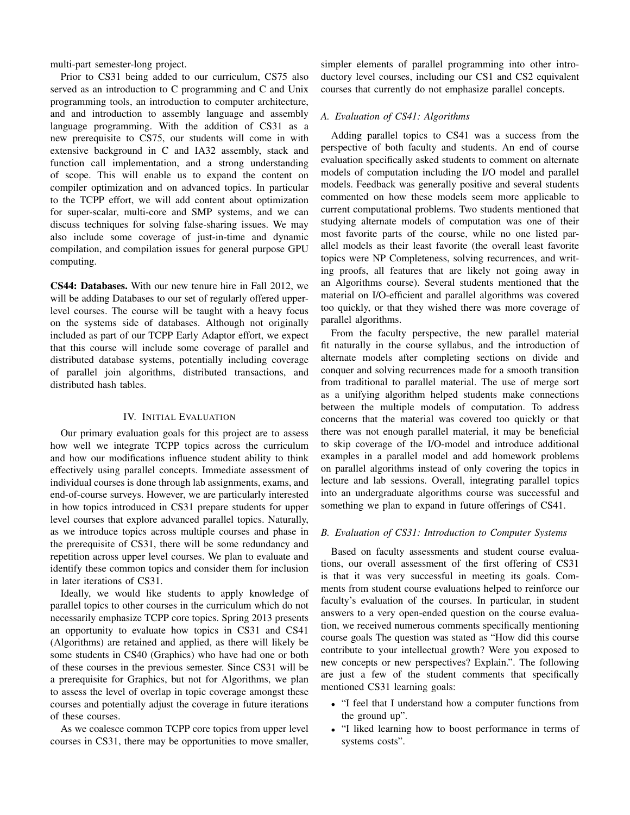multi-part semester-long project.

Prior to CS31 being added to our curriculum, CS75 also served as an introduction to C programming and C and Unix programming tools, an introduction to computer architecture, and and introduction to assembly language and assembly language programming. With the addition of CS31 as a new prerequisite to CS75, our students will come in with extensive background in C and IA32 assembly, stack and function call implementation, and a strong understanding of scope. This will enable us to expand the content on compiler optimization and on advanced topics. In particular to the TCPP effort, we will add content about optimization for super-scalar, multi-core and SMP systems, and we can discuss techniques for solving false-sharing issues. We may also include some coverage of just-in-time and dynamic compilation, and compilation issues for general purpose GPU computing.

CS44: Databases. With our new tenure hire in Fall 2012, we will be adding Databases to our set of regularly offered upperlevel courses. The course will be taught with a heavy focus on the systems side of databases. Although not originally included as part of our TCPP Early Adaptor effort, we expect that this course will include some coverage of parallel and distributed database systems, potentially including coverage of parallel join algorithms, distributed transactions, and distributed hash tables.

## IV. INITIAL EVALUATION

Our primary evaluation goals for this project are to assess how well we integrate TCPP topics across the curriculum and how our modifications influence student ability to think effectively using parallel concepts. Immediate assessment of individual courses is done through lab assignments, exams, and end-of-course surveys. However, we are particularly interested in how topics introduced in CS31 prepare students for upper level courses that explore advanced parallel topics. Naturally, as we introduce topics across multiple courses and phase in the prerequisite of CS31, there will be some redundancy and repetition across upper level courses. We plan to evaluate and identify these common topics and consider them for inclusion in later iterations of CS31.

Ideally, we would like students to apply knowledge of parallel topics to other courses in the curriculum which do not necessarily emphasize TCPP core topics. Spring 2013 presents an opportunity to evaluate how topics in CS31 and CS41 (Algorithms) are retained and applied, as there will likely be some students in CS40 (Graphics) who have had one or both of these courses in the previous semester. Since CS31 will be a prerequisite for Graphics, but not for Algorithms, we plan to assess the level of overlap in topic coverage amongst these courses and potentially adjust the coverage in future iterations of these courses.

As we coalesce common TCPP core topics from upper level courses in CS31, there may be opportunities to move smaller,

simpler elements of parallel programming into other introductory level courses, including our CS1 and CS2 equivalent courses that currently do not emphasize parallel concepts.

## *A. Evaluation of CS41: Algorithms*

Adding parallel topics to CS41 was a success from the perspective of both faculty and students. An end of course evaluation specifically asked students to comment on alternate models of computation including the I/O model and parallel models. Feedback was generally positive and several students commented on how these models seem more applicable to current computational problems. Two students mentioned that studying alternate models of computation was one of their most favorite parts of the course, while no one listed parallel models as their least favorite (the overall least favorite topics were NP Completeness, solving recurrences, and writing proofs, all features that are likely not going away in an Algorithms course). Several students mentioned that the material on I/O-efficient and parallel algorithms was covered too quickly, or that they wished there was more coverage of parallel algorithms.

From the faculty perspective, the new parallel material fit naturally in the course syllabus, and the introduction of alternate models after completing sections on divide and conquer and solving recurrences made for a smooth transition from traditional to parallel material. The use of merge sort as a unifying algorithm helped students make connections between the multiple models of computation. To address concerns that the material was covered too quickly or that there was not enough parallel material, it may be beneficial to skip coverage of the I/O-model and introduce additional examples in a parallel model and add homework problems on parallel algorithms instead of only covering the topics in lecture and lab sessions. Overall, integrating parallel topics into an undergraduate algorithms course was successful and something we plan to expand in future offerings of CS41.

# *B. Evaluation of CS31: Introduction to Computer Systems*

Based on faculty assessments and student course evaluations, our overall assessment of the first offering of CS31 is that it was very successful in meeting its goals. Comments from student course evaluations helped to reinforce our faculty's evaluation of the courses. In particular, in student answers to a very open-ended question on the course evaluation, we received numerous comments specifically mentioning course goals The question was stated as "How did this course contribute to your intellectual growth? Were you exposed to new concepts or new perspectives? Explain.". The following are just a few of the student comments that specifically mentioned CS31 learning goals:

- "I feel that I understand how a computer functions from the ground up".
- "I liked learning how to boost performance in terms of systems costs".